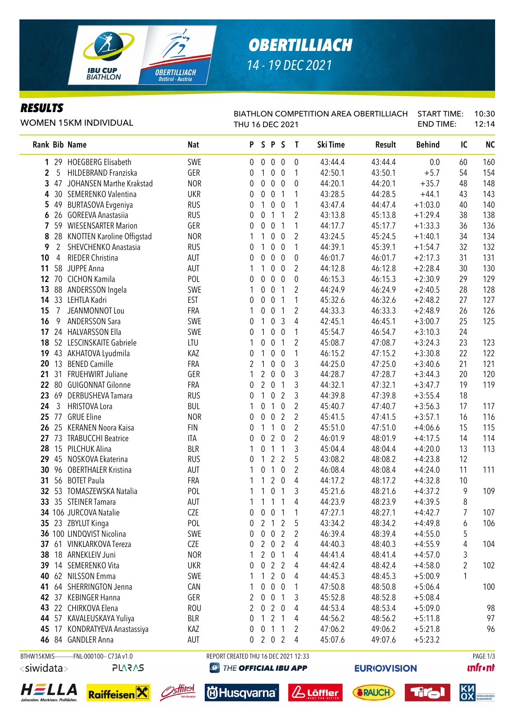

# *OBERTILLIACH 14 - 19 DEC 2021*

### *RESULTS*

WOMEN 15KM INDIVIDUAL

#### BIATHLON COMPETITION AREA OBERTILLIACH START TIME: THU 16 DEC 2021 END TIME: 10:30 12:14

| Rank Bib Name         |                                              | <b>Nat</b> |                                      | PSPS             |                  |                  | $\mathbf{I}$   | Ski Time | Result              | <b>Behind</b> | IC             | <b>NC</b>                                |
|-----------------------|----------------------------------------------|------------|--------------------------------------|------------------|------------------|------------------|----------------|----------|---------------------|---------------|----------------|------------------------------------------|
| 29<br>$\mathbf{1}$    | <b>HOEGBERG Elisabeth</b>                    | SWE        | $\mathbf 0$                          | $\overline{0}$   | $\pmb{0}$        | $\mathbf 0$      | 0              | 43:44.4  | 43:44.4             | 0.0           | 60             | 160                                      |
| 5<br>2                | HILDEBRAND Franziska                         | GER        | 0                                    | 1                | 0                | 0                | 1              | 42:50.1  | 43:50.1             | $+5.7$        | 54             | 154                                      |
| 47<br>3               | JOHANSEN Marthe Krakstad                     | <b>NOR</b> | 0                                    | $\pmb{0}$        | $\boldsymbol{0}$ | $\boldsymbol{0}$ | 0              | 44:20.1  | 44:20.1             | $+35.7$       | 48             | 148                                      |
| 30<br>4               | SEMERENKO Valentina                          | <b>UKR</b> | 0                                    | $\boldsymbol{0}$ | 0                | 1                | 1              | 43:28.5  | 44:28.5             | $+44.1$       | 43             | 143                                      |
| 5<br>49               | <b>BURTASOVA Evgeniya</b>                    | <b>RUS</b> | 0                                    | 1                | 0                | $\boldsymbol{0}$ | 1              | 43:47.4  | 44:47.4             | $+1:03.0$     | 40             | 140                                      |
| 626                   | <b>GOREEVA Anastasiia</b>                    | <b>RUS</b> | 0                                    | 0                | 1                | $\mathbf{1}$     | $\overline{2}$ | 43:13.8  | 45:13.8             | $+1:29.4$     | 38             | 138                                      |
| 7<br>59               | <b>WIESENSARTER Marion</b>                   | GER        | 0                                    | 0                | $\boldsymbol{0}$ | 1                | 1              | 44:17.7  | 45:17.7             | $+1:33.3$     | 36             | 136                                      |
| 8<br>28               | <b>KNOTTEN Karoline Offigstad</b>            | <b>NOR</b> | 1                                    | 1                | 0                | $\boldsymbol{0}$ | 2              | 43:24.5  | 45:24.5             | $+1:40.1$     | 34             | 134                                      |
| $\overline{2}$<br>9   | SHEVCHENKO Anastasia                         | <b>RUS</b> | 0                                    | 1                | 0                | $\boldsymbol{0}$ | 1              | 44:39.1  | 45:39.1             | $+1:54.7$     | 32             | 132                                      |
| 10<br>4               | RIEDER Christina                             | <b>AUT</b> | 0                                    | 0                | $\boldsymbol{0}$ | $\boldsymbol{0}$ | 0              | 46:01.7  | 46:01.7             | $+2:17.3$     | 31             | 131                                      |
| 11<br>58              | <b>JUPPE Anna</b>                            | <b>AUT</b> | 1                                    | 1                | $\boldsymbol{0}$ | $\boldsymbol{0}$ | 2              | 44:12.8  | 46:12.8             | $+2:28.4$     | 30             | 130                                      |
| $12 \,$<br>70         | <b>CICHON Kamila</b>                         | POL        | 0                                    | 0                | 0                | $\boldsymbol{0}$ | 0              | 46:15.3  | 46:15.3             | $+2:30.9$     | 29             | 129                                      |
| 13<br>88              | ANDERSSON Ingela                             | SWE        | 1                                    | 0                | 0                | 1                | $\overline{2}$ | 44:24.9  | 46:24.9             | $+2:40.5$     | 28             | 128                                      |
| 14 33                 | LEHTLA Kadri                                 | EST        | 0                                    | 0                | 0                | 1                | 1              | 45:32.6  | 46:32.6             | $+2:48.2$     | 27             | 127                                      |
| $\overline{7}$<br>15  | JEANMONNOT Lou                               | FRA        | 1                                    | 0                | $\boldsymbol{0}$ | $\mathbf{1}$     | 2              | 44:33.3  | 46:33.3             | $+2:48.9$     | 26             | 126                                      |
| 9<br>16               | <b>ANDERSSON Sara</b>                        | SWE        | 0                                    | 1                | 0                | 3                | 4              | 42:45.1  | 46:45.1             | $+3:00.7$     | 25             | 125                                      |
| 24<br>17              | <b>HALVARSSON Ella</b>                       | SWE        | 0                                    | 1                | $\mathbf 0$      | $\mathbf 0$      | 1              | 45:54.7  | 46:54.7             | $+3:10.3$     | 24             |                                          |
| 18                    | 52 LESCINSKAITE Gabriele                     | LTU        | 1                                    | 0                | $\pmb{0}$        | $\mathbf{1}$     | $\overline{2}$ | 45:08.7  | 47:08.7             | $+3:24.3$     | 23             | 123                                      |
| 19                    | 43 AKHATOVA Lyudmila                         | KAZ        | 0                                    | 1                | $\boldsymbol{0}$ | $\boldsymbol{0}$ | 1              | 46:15.2  | 47:15.2             | $+3:30.8$     | 22             | 122                                      |
| 13<br>20              | <b>BENED Camille</b>                         | FRA        | 2                                    | 1                | $\boldsymbol{0}$ | $\boldsymbol{0}$ | 3              | 44:25.0  | 47:25.0             | $+3:40.6$     | 21             | 121                                      |
| 31<br>21              | FRUEHWIRT Juliane                            | GER        | 1                                    | 2                | $\pmb{0}$        | $\boldsymbol{0}$ | 3              | 44:28.7  | 47:28.7             | $+3:44.3$     | 20             | 120                                      |
| 80<br>22              | <b>GUIGONNAT Gilonne</b>                     | FRA        | 0                                    | 2                | $\pmb{0}$        | 1                | 3              | 44:32.1  | 47:32.1             | $+3:47.7$     | 19             | 119                                      |
| 23<br>69              | DERBUSHEVA Tamara                            | <b>RUS</b> | 0                                    | 1                | $\mathbf 0$      | $\overline{2}$   | 3              | 44:39.8  | 47:39.8             | $+3:55.4$     | 18             |                                          |
| 3<br>24               | <b>HRISTOVA Lora</b>                         | <b>BUL</b> | 1                                    | 0                | 1                | $\mathbf 0$      | $\overline{2}$ | 45:40.7  | 47:40.7             | $+3:56.3$     | 17             | 117                                      |
| 77<br>25              | <b>GRUE Eline</b>                            | <b>NOR</b> | 0                                    | 0                | 0                | $\overline{2}$   | $\overline{2}$ | 45:41.5  | 47:41.5             | $+3:57.1$     | 16             | 116                                      |
| 26<br>25              | <b>KERANEN Noora Kaisa</b>                   | <b>FIN</b> | 0                                    | 1                | 1                | $\mathbf 0$      | 2              | 45:51.0  | 47:51.0             | $+4:06.6$     | 15             | 115                                      |
| 73<br>27              | <b>TRABUCCHI Beatrice</b>                    | <b>ITA</b> | 0                                    | 0                | $\overline{2}$   | 0                | 2              | 46:01.9  | 48:01.9             | $+4:17.5$     | 14             | 114                                      |
| 15<br>28              | PILCHUK Alina                                | <b>BLR</b> | 1                                    | 0                | $\mathbf{1}$     | 1                | 3              | 45:04.4  | 48:04.4             | $+4:20.0$     | 13             | 113                                      |
| 29<br>45              | NOSKOVA Ekaterina                            | <b>RUS</b> | 0                                    | 1                | $\overline{2}$   | $\overline{2}$   | 5              | 43:08.2  | 48:08.2             | $+4:23.8$     | 12             |                                          |
| 30<br>96              | <b>OBERTHALER Kristina</b>                   | <b>AUT</b> | 1                                    | 0                | $\mathbf{1}$     | $\boldsymbol{0}$ | 2              | 46:08.4  | 48:08.4             | $+4:24.0$     | 11             | 111                                      |
| 31<br>56              | <b>BOTET Paula</b>                           | FRA        | 1                                    | 1                | $\overline{2}$   | $\boldsymbol{0}$ | 4              | 44:17.2  | 48:17.2             | $+4:32.8$     | 10             |                                          |
| 32<br>53              | TOMASZEWSKA Natalia                          | POL        | 1                                    | 1                | $\boldsymbol{0}$ | 1                | 3              | 45:21.6  | 48:21.6             | $+4:37.2$     | 9              | 109                                      |
| 33                    | 35 STEINER Tamara                            | <b>AUT</b> | 1                                    | 1                | 1                | 1                | 4              | 44:23.9  | 48:23.9             | $+4:39.5$     | 8              |                                          |
|                       | 34 106 JURCOVA Natalie                       | <b>CZE</b> | 0                                    | 0                | $\boldsymbol{0}$ | 1                | 1              | 47:27.1  | 48:27.1             | $+4:42.7$     | $\overline{7}$ | 107                                      |
|                       | 35 23 ZBYLUT Kinga                           | POL        | 0                                    |                  | $2 1 2$          |                  | 5              | 43:34.2  | 48:34.2             | $+4:49.8$     | 6              | 106                                      |
|                       | 36 100 LINDQVIST Nicolina                    | SWE        | 0                                    | $\mathbf 0$      | $\mathbf 0$      | $\overline{2}$   | 2              | 46:39.4  | 48:39.4             | $+4:55.0$     | 5              |                                          |
|                       | 37 61 VINKLARKOVA Tereza                     | CZE        | 0                                    | $\overline{2}$   | $\overline{0}$   | $\overline{2}$   | 4              | 44:40.3  | 48:40.3             | $+4:55.9$     | 4              | 104                                      |
|                       | 38 18 ARNEKLEIV Juni                         | <b>NOR</b> | 1                                    | $2^{\circ}$      | $\overline{0}$   | 1                | 4              | 44:41.4  | 48:41.4             | $+4:57.0$     | 3              |                                          |
|                       | 39 14 SEMERENKO Vita                         | <b>UKR</b> | 0                                    | $\mathbf 0$      | 2 <sub>2</sub>   |                  | 4              | 44:42.4  | 48:42.4             | $+4:58.0$     | $\overline{c}$ | 102                                      |
|                       | 40 62 NILSSON Emma                           | SWE        |                                      | 1                | $\overline{2}$   | $\overline{0}$   | 4              | 44:45.3  | 48:45.3             | $+5:00.9$     | 1              |                                          |
| 41                    | 64 SHERRINGTON Jenna                         | CAN        |                                      | 0                | $\mathbf 0$      | $\overline{0}$   | 1              | 47:50.8  | 48:50.8             | $+5:06.4$     |                | 100                                      |
|                       | 42 37 KEBINGER Hanna                         | GER        | 2                                    | $\mathbf 0$      | $\overline{0}$   | 1                | 3              | 45:52.8  | 48:52.8             | $+5:08.4$     |                |                                          |
|                       | 43 22 CHIRKOVA Elena                         | <b>ROU</b> | 2                                    | $\mathbf 0$      | $\overline{2}$   | $\boldsymbol{0}$ | 4              | 44:53.4  | 48:53.4             | $+5:09.0$     |                | 98                                       |
|                       | 44 57 KAVALEUSKAYA Yuliya                    | <b>BLR</b> | 0                                    | 1                | $\overline{2}$   | 1                | 4              | 44:56.2  | 48:56.2             | $+5:11.8$     |                | 97                                       |
|                       | 45 17 KONDRATYEVA Anastassiya                | KAZ        | 0                                    | $\mathbf{0}$     | $\mathbf{1}$     | 1                | 2              | 47:06.2  | 49:06.2             | $+5:21.8$     |                | 96                                       |
|                       | 46 84 GANDLER Anna                           | AUT        | 0                                    |                  | 2 0 2            |                  | 4              | 45:07.6  | 49:07.6             | $+5:23.2$     |                |                                          |
|                       | BTHW15KMIS------------FNL-000100-- C73A v1.0 |            | REPORT CREATED THU 16 DEC 2021 12:33 |                  |                  |                  |                |          |                     |               |                | PAGE 1/3<br><b><i><u>infront</u></i></b> |
| <siwidata></siwidata> | <b>PLARAS</b>                                | $\bigcirc$ | THE OFFICIAL IBU APP                 |                  |                  |                  |                |          | <b>EURIO)VISION</b> |               |                |                                          |





**id Husqvarna** 

& Löffler





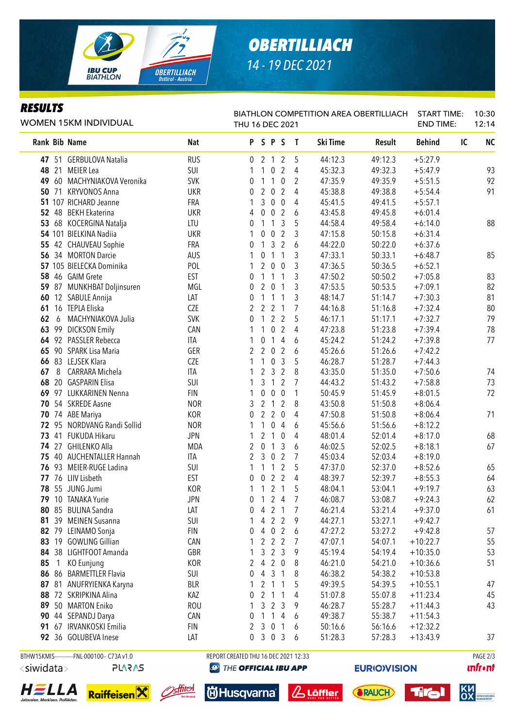

# *OBERTILLIACH 14 - 19 DEC 2021*

### *RESULTS*

| WOMEN 15KM INDIVIDUAL |                                              |            | THU 16 DEC 2021                      |                                    |                |                | BIATHLON COMPETITION AREA OBERTILLIACH |         | <b>START TIME:</b><br><b>END TIME:</b> |    | 10:30<br>12:14 |
|-----------------------|----------------------------------------------|------------|--------------------------------------|------------------------------------|----------------|----------------|----------------------------------------|---------|----------------------------------------|----|----------------|
| Rank Bib Name         |                                              | <b>Nat</b> | PSPS                                 |                                    |                | $\mathbf{I}$   | Ski Time                               | Result  | <b>Behind</b>                          | IC | <b>NC</b>      |
|                       | 47 51 GERBULOVA Natalia                      | <b>RUS</b> | 0 2 1 2                              |                                    |                | 5              | 44:12.3                                | 49:12.3 | $+5:27.9$                              |    |                |
| 48 21                 | <b>MEIER</b> Lea                             | SUI        |                                      | $\mathbf 0$<br>$\mathbf{1}$        | $\overline{2}$ | 4              | 45:32.3                                | 49:32.3 | $+5:47.9$                              |    | 93             |
|                       | 49 60 MACHYNIAKOVA Veronika                  | <b>SVK</b> | 0                                    | $\mathbf{1}$<br>1                  | $\mathbf 0$    | 2              | 47:35.9                                | 49:35.9 | $+5:51.5$                              |    | 92             |
|                       | 50 71 KRYVONOS Anna                          | <b>UKR</b> | 0                                    | $\overline{2}$<br>$\overline{0}$   | $\overline{2}$ | 4              | 45:38.8                                | 49:38.8 | $+5:54.4$                              |    | 91             |
|                       | 51 107 RICHARD Jeanne                        | FRA        | 1                                    | $\mathfrak{Z}$<br>$\overline{0}$   | $\mathbf 0$    | 4              | 45:41.5                                | 49:41.5 | $+5:57.1$                              |    |                |
|                       | 52 48 BEKH Ekaterina                         | <b>UKR</b> | 4                                    | $\overline{0}$<br>$\boldsymbol{0}$ | $\overline{2}$ | 6              | 43:45.8                                | 49:45.8 | $+6:01.4$                              |    |                |
|                       | 53 68 KOCERGINA Natalja                      | LTU        | 0                                    | $\mathbf{1}$<br>$\mathbf{1}$       | $\mathfrak{Z}$ | 5              | 44:58.4                                | 49:58.4 | $+6:14.0$                              |    | 88             |
|                       | 54 101 BIELKINA Nadiia                       | <b>UKR</b> | 1                                    | $\pmb{0}$<br>$\overline{0}$        | $\overline{2}$ | 3              | 47:15.8                                | 50:15.8 | $+6:31.4$                              |    |                |
|                       | 55 42 CHAUVEAU Sophie                        | FRA        | 0                                    | $\mathfrak{Z}$<br>$\mathbf{1}$     | $\overline{2}$ | 6              | 44:22.0                                | 50:22.0 | $+6:37.6$                              |    |                |
|                       | 56 34 MORTON Darcie                          | AUS        | 1                                    | $\overline{1}$<br>$\pmb{0}$        | $\mathbf{1}$   | 3              | 47:33.1                                | 50:33.1 | $+6:48.7$                              |    | 85             |
|                       | 57 105 BIELECKA Dominika                     | POL        | 1                                    | $\overline{2}$<br>$\overline{0}$   | $\mathbf 0$    | 3              | 47:36.5                                | 50:36.5 | $+6:52.1$                              |    |                |
|                       | 58 46 GAIM Grete                             | EST        | 0                                    | $\mathbf{1}$<br>$\mathbf{1}$       | 1              | 3              | 47:50.2                                | 50:50.2 | $+7:05.8$                              |    | 83             |
|                       | 59 87 MUNKHBAT Doljinsuren                   | MGL        | 0                                    | $\overline{2}$<br>$\overline{0}$   | $\mathbf{1}$   | 3              | 47:53.5                                | 50:53.5 | $+7:09.1$                              |    | 82             |
|                       | 60 12 SABULE Annija                          | LAT        | 0                                    | $\mathbf{1}$<br>$\mathbf{1}$       | 1              | 3              | 48:14.7                                | 51:14.7 | $+7:30.3$                              |    | 81             |
|                       | 61 16 TEPLA Eliska                           | <b>CZE</b> | 2                                    | $\overline{2}$<br>$\overline{2}$   | $\mathbf{1}$   | 7              | 44:16.8                                | 51:16.8 | $+7:32.4$                              |    | 80             |
| 62<br>6               | MACHYNIAKOVA Julia                           | <b>SVK</b> | 0                                    | $\mathbf{1}$<br>$\overline{2}$     | $\overline{2}$ | 5              | 46:17.1                                | 51:17.1 | $+7:32.7$                              |    | 79             |
| 63                    | 99 DICKSON Emily                             | CAN        | 1                                    | 1<br>$\mathbf 0$                   | $\overline{2}$ | 4              | 47:23.8                                | 51:23.8 | $+7:39.4$                              |    | 78             |
|                       | 64 92 PASSLER Rebecca                        | ITA        | 1                                    | 0<br>$\mathbf{1}$                  | 4              | 6              | 45:24.2                                | 51:24.2 | $+7:39.8$                              |    | 77             |
| 65                    | 90 SPARK Lisa Maria                          | GER        | 2                                    | $\overline{2}$<br>$\overline{0}$   | $\overline{2}$ | 6              | 45:26.6                                | 51:26.6 | $+7:42.2$                              |    |                |
|                       | 66 83 LEJSEK Klara                           | <b>CZE</b> | 1                                    | $\mathbf{1}$<br>$\overline{0}$     | $\mathbf{3}$   | 5              | 46:28.7                                | 51:28.7 | $+7:44.3$                              |    |                |
| 8<br>67               | CARRARA Michela                              | ITA        | 1                                    | 2 <sub>3</sub>                     | 2              | 8              | 43:35.0                                | 51:35.0 | $+7:50.6$                              |    | 74             |
|                       | 68 20 GASPARIN Elisa                         | SUI        | 1                                    | 3<br>$\mathbf{1}$                  | 2              | 7              | 44:43.2                                | 51:43.2 | $+7:58.8$                              |    | 73             |
|                       | 69 97 LUKKARINEN Nenna                       | <b>FIN</b> | 1                                    | $\pmb{0}$<br>$\mathbf 0$           | $\overline{0}$ | 1              | 50:45.9                                | 51:45.9 | $+8:01.5$                              |    | 72             |
|                       | 70 54 SKREDE Aasne                           | <b>NOR</b> | 3                                    | 2 <sub>1</sub>                     | 2              | 8              | 43:50.8                                | 51:50.8 | $+8:06.4$                              |    |                |
|                       | 70 74 ABE Mariya                             | KOR        | 0                                    | $\overline{2}$<br>$2^{\circ}$      | $\mathbf 0$    | 4              | 47:50.8                                | 51:50.8 | $+8:06.4$                              |    | 71             |
|                       | 72 95 NORDVANG Randi Sollid                  | <b>NOR</b> | 1                                    | 1<br>$\mathbf 0$                   | 4              | 6              | 45:56.6                                | 51:56.6 | $+8:12.2$                              |    |                |
|                       | 73 41 FUKUDA Hikaru                          | <b>JPN</b> | 1                                    | 2<br>$\mathbf{1}$                  | 0              | 4              | 48:01.4                                | 52:01.4 | $+8:17.0$                              |    | 68             |
|                       | 74 27 GHILENKO Alla                          | <b>MDA</b> | 2                                    | $\mathbf{1}$<br>$\mathbf 0$        | $\mathfrak{Z}$ | 6              | 46:02.5                                | 52:02.5 | $+8:18.1$                              |    | 67             |
|                       | 75 40 AUCHENTALLER Hannah                    | ITA        | 2                                    | 3<br>$\overline{0}$                | $\overline{2}$ | 7              | 45:03.4                                | 52:03.4 | $+8:19.0$                              |    |                |
|                       | 76 93 MEIER-RUGE Ladina                      | SUI        | 1                                    | $\mathbf{1}$<br>$\mathbf{1}$       | $\overline{2}$ | 5              | 47:37.0                                | 52:37.0 | $+8:52.6$                              |    | 65             |
|                       | 77 76 LIIV Lisbeth                           | EST        | 0                                    | $\overline{2}$<br>$\overline{0}$   | $\overline{2}$ | 4              | 48:39.7                                | 52:39.7 | $+8:55.3$                              |    | 64             |
|                       | 78 55 JUNG Jumi                              | KOR        | 1                                    | $121$                              |                | 5              | 48:04.1                                | 53:04.1 | $+9:19.7$                              |    | 63             |
|                       | 79 10 TANAKA Yurie                           | <b>JPN</b> | 0 1 2 4                              |                                    |                | $\overline{7}$ | 46:08.7                                | 53:08.7 | $+9:24.3$                              |    | 62             |
|                       | 80 85 BULINA Sandra                          | LAT        | 0                                    | 4<br>2                             | $\overline{1}$ | 7              | 46:21.4                                | 53:21.4 | $+9:37.0$                              |    | 61             |
|                       | 81 39 MEINEN Susanna                         | SUI        | 1                                    | $\overline{2}$<br>4                | $\overline{2}$ | 9              | 44:27.1                                | 53:27.1 | $+9:42.7$                              |    |                |
|                       | 82 79 LEINAMO Sonja                          | <b>FIN</b> | 0                                    | $\overline{0}$<br>4                | $\overline{2}$ | 6              | 47:27.2                                | 53:27.2 | $+9:42.8$                              |    | 57             |
|                       | 83 19 GOWLING Gillian                        | CAN        |                                      | 2<br>$\overline{2}$                | 2              | 7              | 47:07.1                                | 54:07.1 | $+10:22.7$                             |    | 55             |
|                       | 84 38 LIGHTFOOT Amanda                       | GBR        |                                      | 3<br>$\overline{2}$                | 3              | 9              | 45:19.4                                | 54:19.4 | $+10:35.0$                             |    | 53             |
| $\overline{1}$<br>85  | KO Eunjung                                   | KOR        | 2                                    | 4                                  | $2\quad0$      | 8              | 46:21.0                                | 54:21.0 | $+10:36.6$                             |    | 51             |
|                       | 86 86 BARMETTLER Flavia                      | SUI        | 0                                    | 4<br>$\mathbf{3}$                  | $\mathbf{1}$   | 8              | 46:38.2                                | 54:38.2 | $+10:53.8$                             |    |                |
|                       | 87 81 ANUFRYIENKA Karyna                     | <b>BLR</b> | 1                                    | $2 \t1 \t1$                        |                | 5              | 49:39.5                                | 54:39.5 | $+10:55.1$                             |    | 47             |
|                       | 88 72 SKRIPKINA Alina                        | KAZ        | 0                                    | $2 \t1 \t1$                        |                | 4              | 51:07.8                                | 55:07.8 | $+11:23.4$                             |    | 45             |
|                       | 89 50 MARTON Eniko                           | <b>ROU</b> | 1                                    | $\mathbf{3}$                       | 2 <sub>3</sub> | 9              | 46:28.7                                | 55:28.7 | $+11:44.3$                             |    | 43             |
|                       | 90 44 SEPANDJ Darya                          | CAN        | 0                                    | $\mathbf{1}$<br>$\mathbf{1}$       | $\overline{4}$ | 6              | 49:38.7                                | 55:38.7 | $+11:54.3$                             |    |                |
|                       | 91 67 IRVANKOSKI Emilia                      | <b>FIN</b> | 2                                    | $\mathbf{3}$<br>$\mathbf 0$        | $\overline{1}$ | 6              | 50:16.6                                | 56:16.6 | $+12:32.2$                             |    |                |
|                       | 92 36 GOLUBEVA Inese                         | LAT        | $\mathbf 0$                          | 3 0                                | $\mathbf{3}$   | 6              | 51:28.3                                | 57:28.3 | $+13:43.9$                             |    | 37             |
|                       | BTHW15KMIS------------FNL-000100-- C73A v1.0 |            | REPORT CREATED THU 16 DEC 2021 12:33 |                                    |                |                |                                        |         |                                        |    | PAGE 2/3       |

<siwidata> **PLARAS** 







<u>stiid</u>

**@** THE OFFICIAL IBU APP







Titol



SICHERUNGS